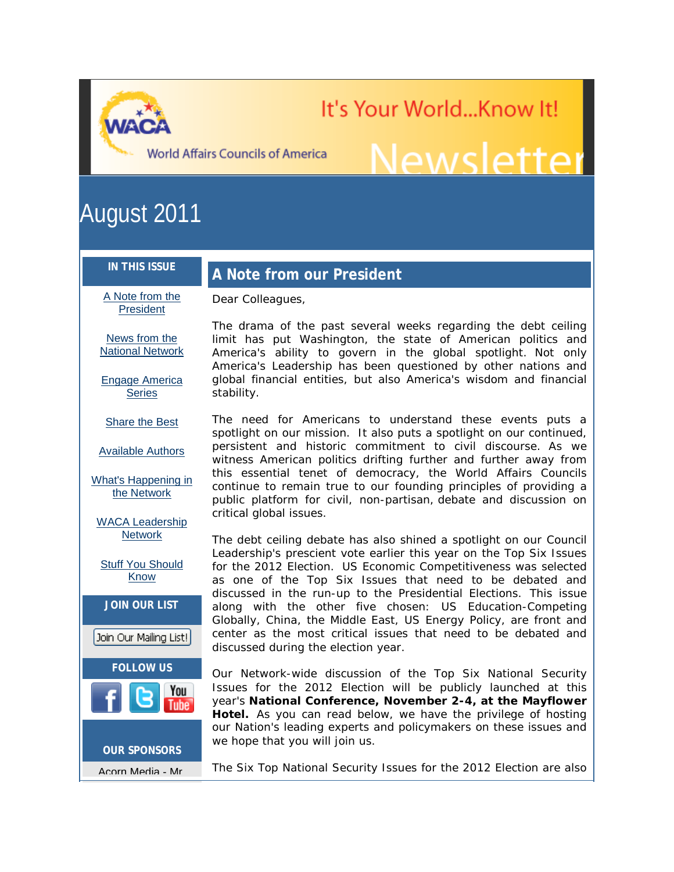It's Your World...Know It! u nona..................<br>Newsletter

**World Affairs Councils of America** 

Dear Colleagues,

# August 2011

#### **IN THIS ISSUE**

# **A Note from our President**

[A Note from the](https://ui.constantcontact.com/visualeditor/visual_editor_preview.jsp?agent.uid=1106885626641&format=html&printFrame=true#LETTER.BLOCK7)  **[President](https://ui.constantcontact.com/visualeditor/visual_editor_preview.jsp?agent.uid=1106885626641&format=html&printFrame=true#LETTER.BLOCK7)** 

[News from the](https://ui.constantcontact.com/visualeditor/visual_editor_preview.jsp?agent.uid=1106885626641&format=html&printFrame=true#LETTER.BLOCK18)  [National Network](https://ui.constantcontact.com/visualeditor/visual_editor_preview.jsp?agent.uid=1106885626641&format=html&printFrame=true#LETTER.BLOCK18)

[Engage America](https://ui.constantcontact.com/visualeditor/visual_editor_preview.jsp?agent.uid=1106885626641&format=html&printFrame=true#LETTER.BLOCK8)  **[Series](https://ui.constantcontact.com/visualeditor/visual_editor_preview.jsp?agent.uid=1106885626641&format=html&printFrame=true#LETTER.BLOCK8)** 

[Share the Best](https://ui.constantcontact.com/visualeditor/visual_editor_preview.jsp?agent.uid=1106885626641&format=html&printFrame=true#LETTER.BLOCK10)

[Available Authors](https://ui.constantcontact.com/visualeditor/visual_editor_preview.jsp?agent.uid=1106885626641&format=html&printFrame=true#LETTER.BLOCK9)

[What's Happening in](https://ui.constantcontact.com/visualeditor/visual_editor_preview.jsp?agent.uid=1106885626641&format=html&printFrame=true#LETTER.BLOCK11)  [the Network](https://ui.constantcontact.com/visualeditor/visual_editor_preview.jsp?agent.uid=1106885626641&format=html&printFrame=true#LETTER.BLOCK11)

[WACA Leadership](https://ui.constantcontact.com/visualeditor/visual_editor_preview.jsp?agent.uid=1106885626641&format=html&printFrame=true#LETTER.BLOCK12)  **[Network](https://ui.constantcontact.com/visualeditor/visual_editor_preview.jsp?agent.uid=1106885626641&format=html&printFrame=true#LETTER.BLOCK12)** 

[Stuff You Should](https://ui.constantcontact.com/visualeditor/visual_editor_preview.jsp?agent.uid=1106885626641&format=html&printFrame=true#LETTER.BLOCK14)  [Know](https://ui.constantcontact.com/visualeditor/visual_editor_preview.jsp?agent.uid=1106885626641&format=html&printFrame=true#LETTER.BLOCK14)



Acorn Media - Mr.

The drama of the past several weeks regarding the debt ceiling limit has put Washington, the state of American politics and America's ability to govern in the global spotlight. Not only America's Leadership has been questioned by other nations and global financial entities, but also America's wisdom and financial stability.

The need for Americans to understand these events puts a spotlight on our mission. It also puts a spotlight on our continued, persistent and historic commitment to civil discourse. As we witness American politics drifting further and further away from this essential tenet of democracy, the World Affairs Councils continue to remain true to our founding principles of providing a public platform for civil, non-partisan, debate and discussion on critical global issues.

The debt ceiling debate has also shined a spotlight on our Council Leadership's prescient vote earlier this year on the Top Six Issues for the 2012 Election. US Economic Competitiveness was selected as one of the Top Six Issues that need to be debated and discussed in the run-up to the Presidential Elections. This issue along with the other five chosen: US Education-Competing Globally, China, the Middle East, US Energy Policy, are front and center as the most critical issues that need to be debated and discussed during the election year.

Our Network-wide discussion of the Top Six National Security Issues for the 2012 Election will be publicly launched at this year's **National Conference, November 2-4, at the Mayflower Hotel.** As you can read below, we have the privilege of hosting our Nation's leading experts and policymakers on these issues and we hope that you will join us.

The Six Top National Security Issues for the 2012 Election are also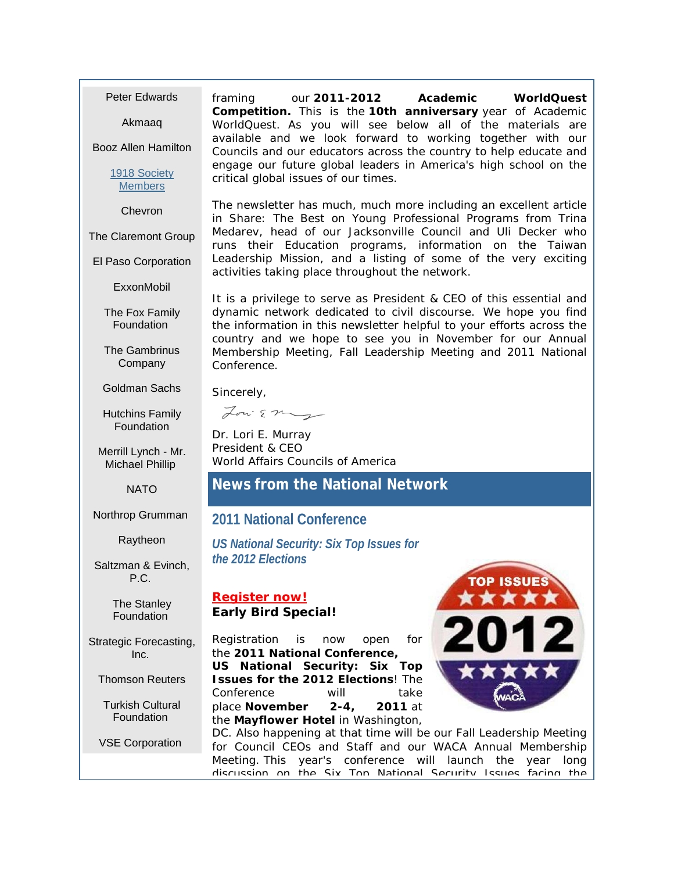Peter Edwards

Akmaaq

Booz Allen Hamilton

[1918 Society](http://r20.rs6.net/tn.jsp?llr=v4lbnzbab&et=1106885626641&s=0&e=001FU0SXDZJbBkGrjcOxvIO_9xBQYBk8-XgiVNco03rwI1mNLbXULRzcahiksLp8yj62mtwod35qTcn1jWuEx5AQTnkT1bdNRI_O7EeXgny3lFh3v1nrUYo51CJN9P2fvSi0IhkynCMBApQWLGIql0G14xgzviDyBUeks7uCw9535MR02MwgZBKm9YlJNdkmxd83JZwXDGyX7nstvooRszwMRNs-AX2I-GmaLpPjqNExJrBEciYhbtOJQ==)  **[Members](http://r20.rs6.net/tn.jsp?llr=v4lbnzbab&et=1106885626641&s=0&e=001FU0SXDZJbBkGrjcOxvIO_9xBQYBk8-XgiVNco03rwI1mNLbXULRzcahiksLp8yj62mtwod35qTcn1jWuEx5AQTnkT1bdNRI_O7EeXgny3lFh3v1nrUYo51CJN9P2fvSi0IhkynCMBApQWLGIql0G14xgzviDyBUeks7uCw9535MR02MwgZBKm9YlJNdkmxd83JZwXDGyX7nstvooRszwMRNs-AX2I-GmaLpPjqNExJrBEciYhbtOJQ==)** 

Chevron

The Claremont Group

El Paso Corporation

**ExxonMobil** 

The Fox Family **Foundation** 

The Gambrinus **Company** 

Goldman Sachs

Hutchins Family Foundation

Merrill Lynch - Mr. Michael Phillip

NATO

Northrop Grumman

Raytheon

Saltzman & Evinch, P.C.

> The Stanley **Foundation**

Strategic Forecasting, Inc.

Thomson Reuters

Turkish Cultural **Foundation** 

VSE Corporation

framing our **2011-2012 Academic WorldQuest Competition.** This is the **10th anniversary** year of Academic WorldQuest. As you will see below all of the materials are available and we look forward to working together with our Councils and our educators across the country to help educate and engage our future global leaders in America's high school on the critical global issues of our times.

The newsletter has much, much more including an excellent article in Share: The Best on Young Professional Programs from Trina Medarev, head of our Jacksonville Council and Uli Decker who runs their Education programs, information on the Taiwan Leadership Mission, and a listing of some of the very exciting activities taking place throughout the network.

It is a privilege to serve as President & CEO of this essential and dynamic network dedicated to civil discourse. We hope you find the information in this newsletter helpful to your efforts across the country and we hope to see you in November for our Annual Membership Meeting, Fall Leadership Meeting and 2011 National Conference.

Sincerely,

Louis my

Dr. Lori E. Murray President & CEO World Affairs Councils of America

# **News from the National Network**

#### **2011 National Conference**

*US National Security: Six Top Issues for the 2012 Elections*

#### **[Register now!](http://r20.rs6.net/tn.jsp?llr=v4lbnzbab&et=1106885626641&s=0&e=001FU0SXDZJbBkGrjcOxvIO_9xBQYBk8-XgiVNco03rwI1mNLbXULRzcahiksLp8yj62mtwod35qTdJfTu7KYSitYDy2Fd6ExGd5yblrQnJ0tZasoxg3jJRGOgzm_hVDGlyMk1vAowxT4fjQFb_N019fA==) Early Bird Special!**

Registration is now open for the **2011 National Conference, US National Security: Six Top Issues for the 2012 Elections**! The Conference will take place **November 2-4, 2011** at the **Mayflower Hotel** in Washington,



DC. Also happening at that time will be our Fall Leadership Meeting for Council CEOs and Staff and our WACA Annual Membership Meeting. This year's conference will launch the year long discussion on the Six Top National Security Issues facing the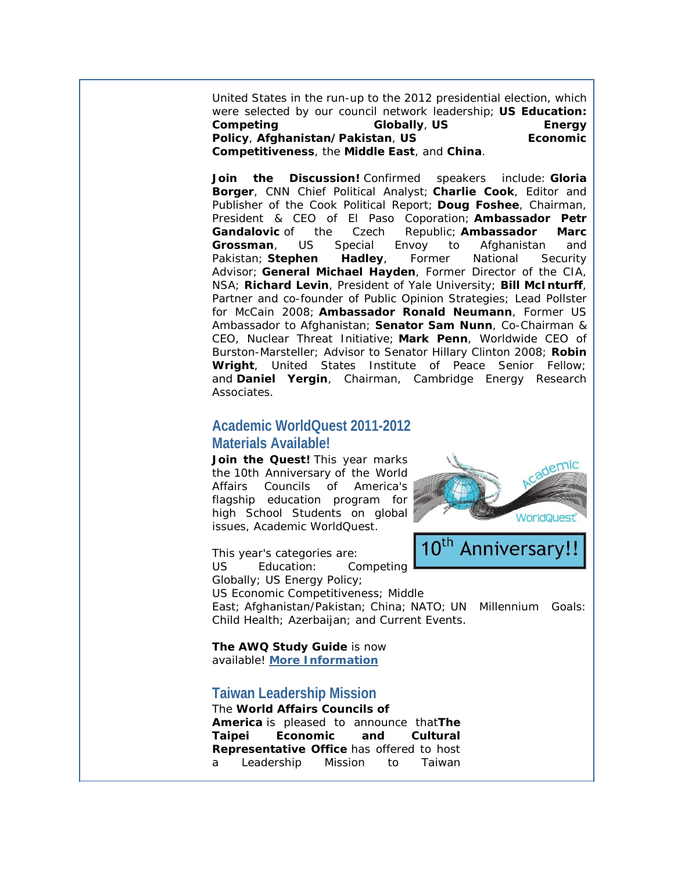United States in the run-up to the 2012 presidential election, which were selected by our council network leadership; **US Education: Competing Globally**, **US Energy Policy**, **Afghanistan/Pakistan**, **US Economic Competitiveness**, the **Middle East**, and **China**.

*Join the Discussion!* Confirmed speakers include: **Gloria Borger**, CNN Chief Political Analyst; **Charlie Cook**, Editor and Publisher of the Cook Political Report; **Doug Foshee**, Chairman, President & CEO of El Paso Coporation; **Ambassador Petr Gandalovic** of the Czech Republic; **Ambassador Marc Grossman**, US Special Envoy to Afghanistan and Pakistan; **Stephen Hadley**, Former National Security Advisor; **General Michael Hayden**, Former Director of the CIA, NSA; **Richard Levin**, President of Yale University; **Bill McInturff**, Partner and co-founder of Public Opinion Strategies; Lead Pollster for McCain 2008; **Ambassador Ronald Neumann**, Former US Ambassador to Afghanistan; **Senator Sam Nunn**, Co-Chairman & CEO, Nuclear Threat Initiative; **Mark Penn**, Worldwide CEO of Burston-Marsteller; Advisor to Senator Hillary Clinton 2008; **Robin Wright**, United States Institute of Peace Senior Fellow; and **Daniel Yergin**, Chairman, Cambridge Energy Research Associates.

## **Academic WorldQuest 2011-2012 Materials Available!**

Join the **Quest!** This year marks the 10th Anniversary of the World Affairs Councils of America's flagship education program for high School Students on global issues, Academic WorldQuest.

**WorldQues** Anniversary!!

This year's categories are: US Education: Competing Globally; US Energy Policy;

US Economic Competitiveness; Middle

East; Afghanistan/Pakistan; China; NATO; UN Millennium Goals: Child Health; Azerbaijan; and Current Events.

**The AWQ Study Guide** is now available! **[More Information](http://r20.rs6.net/tn.jsp?llr=v4lbnzbab&et=1106885626641&s=0&e=001FU0SXDZJbBkGrjcOxvIO_9xBQYBk8-XgiVNco03rwI1mNLbXULRzcahiksLp8yj62mtwod35qTcn1jWuEx5AQTnkT1bdNRI_O7EeXgny3lFh3v1nrUYo51CJN9P2fvSi0IhkynCMBApQWLGIql0G14xgzviDyBUeks7uCw9535MR02MwgZBKm1gHVFMHAq3RCNZG4dFvT_2-uCL_Cr0N1sLyFaSKjmpas72QMuI45jh9JKIgesEf13qqF2gJntZ9xNZS5SSAohCYF6dry9pfRDj87LiB8hYK)**

# **Taiwan Leadership Mission**

The **World Affairs Councils of America** is pleased to announce that**The Taipei Economic and Cultural Representative Office** has offered to host a Leadership Mission to Taiwan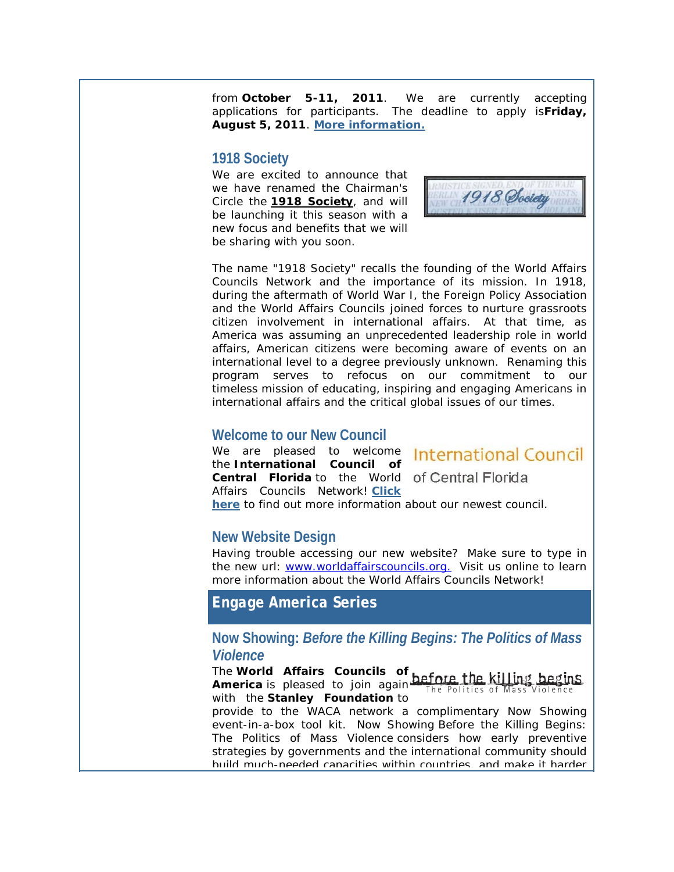from **October 5-11, 2011**. We are currently accepting applications for participants. The deadline to apply is**Friday, August 5, 2011**. **[More information.](http://r20.rs6.net/tn.jsp?llr=v4lbnzbab&et=1106885626641&s=0&e=001FU0SXDZJbBkGrjcOxvIO_9xBQYBk8-XgiVNco03rwI1mNLbXULRzcahiksLp8yj62mtwod35qTcn1jWuEx5AQTnkT1bdNRI_O7EeXgny3lFh3v1nrUYo52SkpoinoWmpiA6A9da-I1Pi2J-vYBhp7QyJYFbmcLM6jCCSRWON83G23U9uRmiC6tftTHKSCc1YJsLvKC547Dh2yQBRo6afGQ==)**

#### **1918 Society**

We are excited to announce that we have renamed the Chairman's Circle the **[1918 Society](http://r20.rs6.net/tn.jsp?llr=v4lbnzbab&et=1106885626641&s=0&e=001FU0SXDZJbBkGrjcOxvIO_9xBQYBk8-XgiVNco03rwI1mNLbXULRzcahiksLp8yj62mtwod35qTcn1jWuEx5AQTnkT1bdNRI_O7EeXgny3lFh3v1nrUYo51CJN9P2fvSi0IhkynCMBApQWLGIql0G14xgzviDyBUeks7uCw9535MR02MwgZBKm9YlJNdkmxd83JZwXDGyX7nstvooRszwMRNs-AX2I-GmaLpPjqNExJrBEciYhbtOJQ==)**, and will be launching it this season with a new focus and benefits that we will be sharing with you soon.



The name "1918 Society" recalls the founding of the World Affairs Councils Network and the importance of its mission. In 1918, during the aftermath of World War I, the Foreign Policy Association and the World Affairs Councils joined forces to nurture grassroots citizen involvement in international affairs. At that time, as America was assuming an unprecedented leadership role in world affairs, American citizens were becoming aware of events on an international level to a degree previously unknown. Renaming this program serves to refocus on our commitment to our timeless mission of educating, inspiring and engaging Americans in international affairs and the critical global issues of our times.

#### **Welcome to our New Council**

We are pleased to welcome **International Council** the **International Council of Central Florida** to the World of Central Florida Affairs Councils Network! **[Click](http://r20.rs6.net/tn.jsp?llr=v4lbnzbab&et=1106885626641&s=0&e=001FU0SXDZJbBkGrjcOxvIO_9xBQYBk8-XgiVNco03rwI1mNLbXULRzcahiksLp8yj62mtwod35qTde_bjH_VDqQFGRG-suIAo5e0WtpbWMu50=)  [here](http://r20.rs6.net/tn.jsp?llr=v4lbnzbab&et=1106885626641&s=0&e=001FU0SXDZJbBkGrjcOxvIO_9xBQYBk8-XgiVNco03rwI1mNLbXULRzcahiksLp8yj62mtwod35qTde_bjH_VDqQFGRG-suIAo5e0WtpbWMu50=)** to find out more information about our newest council.

## **New Website Design**

Having trouble accessing our new website? Make sure to type in the new url: [www.worldaffairscouncils.org.](http://r20.rs6.net/tn.jsp?llr=v4lbnzbab&et=1106885626641&s=0&e=001FU0SXDZJbBkGrjcOxvIO_9xBQYBk8-XgiVNco03rwI1mNLbXULRzcahiksLp8yj62mtwod35qTcn1jWuEx5AQTnkT1bdNRI_O7EeXgny3lEHBwF91f6RuA==) Visit us online to learn more information about the World Affairs Councils Network!

*Engage America* **Series**

## **Now Showing:** *Before the Killing Begins: The Politics of Mass Violence*

The **World Affairs Councils of America** is pleased to join again The Politics of with the **Stanley Foundation** to

provide to the WACA network a complimentary Now Showing event-in-a-box tool kit. Now Showing Before the Killing Begins: The Politics of Mass Violence considers how early preventive strategies by governments and the international community should build much-needed capacities within countries, and make it harder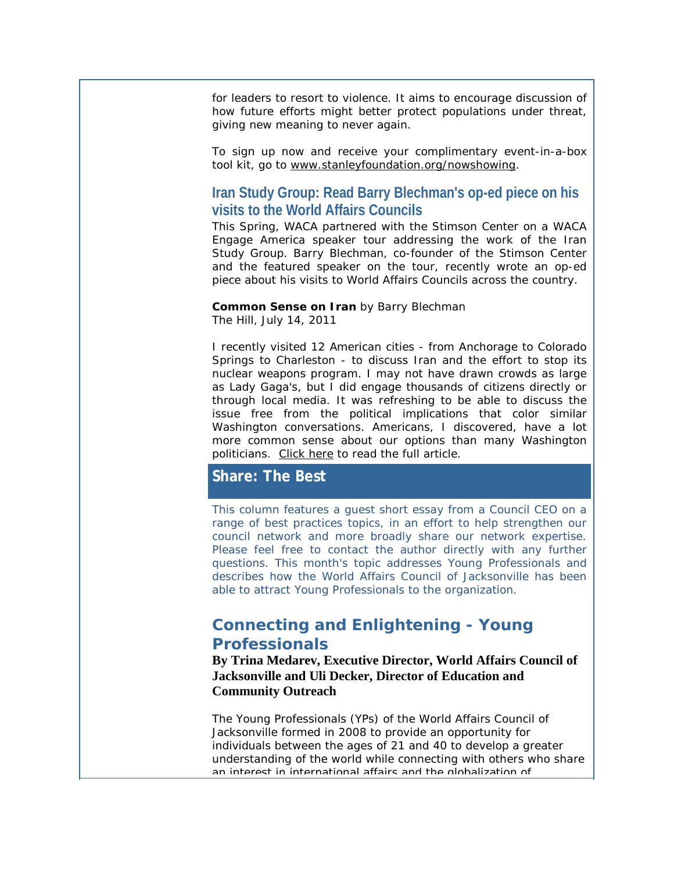for leaders to resort to violence. It aims to encourage discussion of how future efforts might better protect populations under threat, giving new meaning to never again.

To sign up now and receive your complimentary event-in-a-box tool kit, go to [www.stanleyfoundation.org/nowshowing.](http://r20.rs6.net/tn.jsp?llr=v4lbnzbab&et=1106885626641&s=0&e=001FU0SXDZJbBkGrjcOxvIO_9xBQYBk8-XgiVNco03rwI1mNLbXULRzcahiksLp8yj62mtwod35qTd7nWVTwz8njW8SFzOIqCadySrNR60c_OZ2gURpqWlzbsFWt59mPpBO)

## **Iran Study Group: Read Barry Blechman's op-ed piece on his visits to the World Affairs Councils**

This Spring, WACA partnered with the Stimson Center on a WACA Engage America speaker tour addressing the work of the Iran Study Group. Barry Blechman, co-founder of the Stimson Center and the featured speaker on the tour, recently wrote an op-ed piece about his visits to World Affairs Councils across the country.

#### *Common Sense on Iran* by Barry Blechman The Hill, July 14, 2011

I recently visited 12 American cities - from Anchorage to Colorado Springs to Charleston - to discuss Iran and the effort to stop its nuclear weapons program. I may not have drawn crowds as large as Lady Gaga's, but I did engage thousands of citizens directly or through local media. It was refreshing to be able to discuss the issue free from the political implications that color similar Washington conversations. Americans, I discovered, have a lot more common sense about our options than many Washington politicians. [Click here](http://r20.rs6.net/tn.jsp?llr=v4lbnzbab&et=1106885626641&s=0&e=001FU0SXDZJbBkGrjcOxvIO_9xBQYBk8-XgiVNco03rwI1mNLbXULRzcahiksLp8yj62mtwod35qTcn1jWuEx5AQTnkT1bdNRI_O7EeXgny3lFh3v1nrUYo52SkpoinoWmpiA6A9da-I1OD9ff85LxadHZ7OIXbEUItGNOR8cAI4gy4Q0Sx_ts46Q==) to read the full article.

## **Share: The Best**

This column features a guest short essay from a Council CEO on a range of best practices topics, in an effort to help strengthen our council network and more broadly share our network expertise. Please feel free to contact the author directly with any further questions. This month's topic addresses Young Professionals and describes how the World Affairs Council of Jacksonville has been able to attract Young Professionals to the organization.

# *Connecting and Enlightening - Young Professionals*

**By Trina Medarev, Executive Director, World Affairs Council of Jacksonville and Uli Decker, Director of Education and Community Outreach**

The Young Professionals (YPs) of the World Affairs Council of Jacksonville formed in 2008 to provide an opportunity for individuals between the ages of 21 and 40 to develop a greater understanding of the world while connecting with others who share an interest in international affairs and the globalization of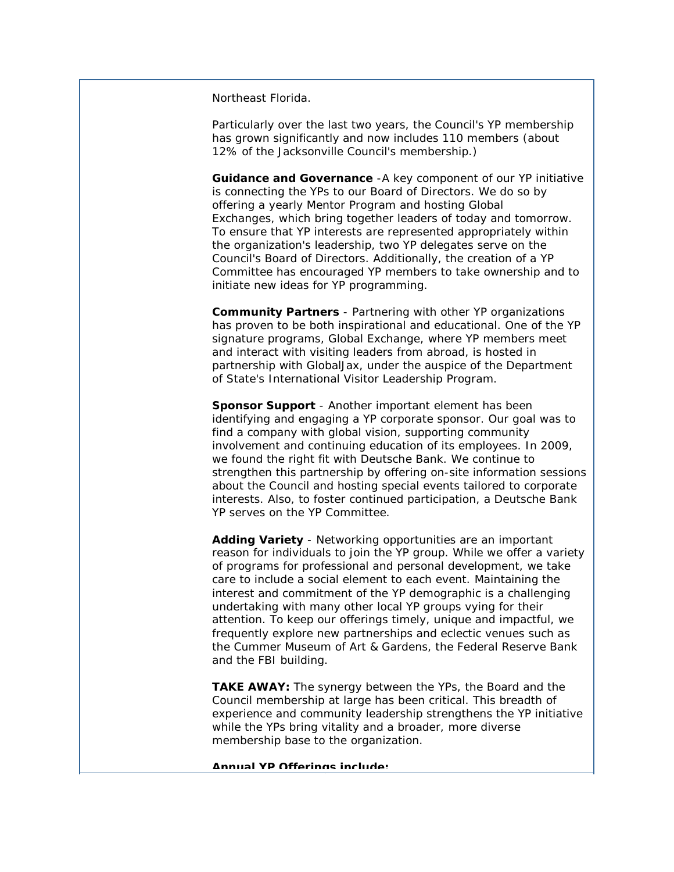Northeast Florida.

Particularly over the last two years, the Council's YP membership has grown significantly and now includes 110 members (about 12% of the Jacksonville Council's membership.)

**Guidance and Governance** -A key component of our YP initiative is connecting the YPs to our Board of Directors. We do so by offering a yearly Mentor Program and hosting Global Exchanges, which bring together leaders of today and tomorrow. To ensure that YP interests are represented appropriately within the organization's leadership, two YP delegates serve on the Council's Board of Directors. Additionally, the creation of a YP Committee has encouraged YP members to take ownership and to initiate new ideas for YP programming.

**Community Partners** - Partnering with other YP organizations has proven to be both inspirational and educational. One of the YP signature programs, Global Exchange, where YP members meet and interact with visiting leaders from abroad, is hosted in partnership with GlobalJax, under the auspice of the Department of State's International Visitor Leadership Program.

**Sponsor Support** - Another important element has been identifying and engaging a YP corporate sponsor. Our goal was to find a company with global vision, supporting community involvement and continuing education of its employees. In 2009, we found the right fit with Deutsche Bank. We continue to strengthen this partnership by offering on-site information sessions about the Council and hosting special events tailored to corporate interests. Also, to foster continued participation, a Deutsche Bank YP serves on the YP Committee.

**Adding Variety** - Networking opportunities are an important reason for individuals to join the YP group. While we offer a variety of programs for professional and personal development, we take care to include a social element to each event. Maintaining the interest and commitment of the YP demographic is a challenging undertaking with many other local YP groups vying for their attention. To keep our offerings timely, unique and impactful, we frequently explore new partnerships and eclectic venues such as the Cummer Museum of Art & Gardens, the Federal Reserve Bank and the FBI building.

**TAKE AWAY:** The synergy between the YPs, the Board and the Council membership at large has been critical. This breadth of experience and community leadership strengthens the YP initiative while the YPs bring vitality and a broader, more diverse membership base to the organization.

**Annual YP Offerings include:**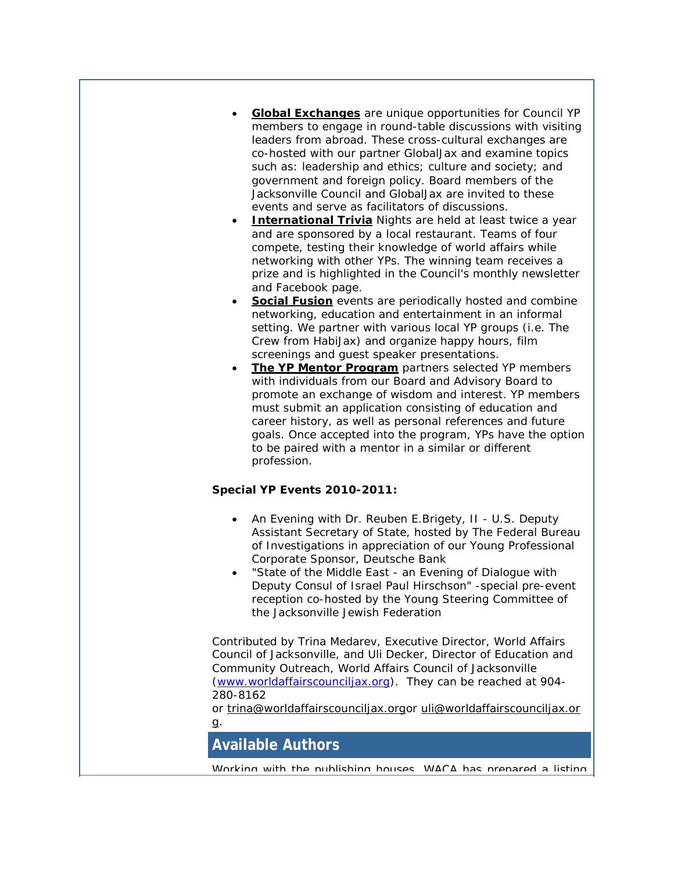- **[Global Exchanges](http://r20.rs6.net/tn.jsp?llr=v4lbnzbab&et=1106885626641&s=0&e=001FU0SXDZJbBkGrjcOxvIO_9xBQYBk8-XgiVNco03rwI1mNLbXULRzcahiksLp8yj62mtwod35qTcn1jWuEx5AQTnkT1bdNRI_XPsT2ZulqdAiOfHaAiOcAlbKti59PhOjGggK2kFofuEOmw3sZ9-USq2GUSOZ_LbH5MJDBMnRgIsdEqgEDDE_aA==)** are unique opportunities for Council YP members to engage in round-table discussions with visiting leaders from abroad. These cross-cultural exchanges are co-hosted with our partner GlobalJax and examine topics such as: leadership and ethics; culture and society; and government and foreign policy. Board members of the Jacksonville Council and GlobalJax are invited to these events and serve as facilitators of discussions.
- **[International Trivia](http://r20.rs6.net/tn.jsp?llr=v4lbnzbab&et=1106885626641&s=0&e=001FU0SXDZJbBkGrjcOxvIO_9xBQYBk8-XgiVNco03rwI1mNLbXULRzcahiksLp8yj62mtwod35qTcn1jWuEx5AQTnkT1bdNRI_XPsT2ZulqdAiOfHaAiOcAlbKti59PhOjGggK2kFofuE7SHG3v34c-Y-C0ipbbWEp83s7aefRs2zOS0QtJs5usQ==)** Nights are held at least twice a year and are sponsored by a local restaurant. Teams of four compete, testing their knowledge of world affairs while networking with other YPs. The winning team receives a prize and is highlighted in the Council's monthly newsletter and Facebook page.
- **[Social Fusion](http://r20.rs6.net/tn.jsp?llr=v4lbnzbab&et=1106885626641&s=0&e=001FU0SXDZJbBkGrjcOxvIO_9xBQYBk8-XgiVNco03rwI1mNLbXULRzcahiksLp8yj62mtwod35qTcn1jWuEx5AQTnkT1bdNRI_XPsT2ZulqdAiOfHaAiOcAlbKti59PhOjGggK2kFofuGxYLGjwSBEazVn9dUYNAPxt2qR4oGRHQw=)** events are periodically hosted and combine networking, education and entertainment in an informal setting. We partner with various local YP groups (i.e. The Crew from HabiJax) and organize happy hours, film screenings and guest speaker presentations.
- **The YP Mentor Program** partners selected YP members with individuals from our Board and Advisory Board to promote an exchange of wisdom and interest. YP members must submit an application consisting of education and career history, as well as personal references and future goals. Once accepted into the program, YPs have the option to be paired with a mentor in a similar or different profession.

#### **Special YP Events 2010-2011:**

- An Evening with Dr. Reuben E.Brigety, II U.S. Deputy Assistant Secretary of State, hosted by The Federal Bureau of Investigations in appreciation of our Young Professional Corporate Sponsor, Deutsche Bank
- "State of the Middle East an Evening of Dialogue with Deputy Consul of Israel Paul Hirschson" -special pre-event reception co-hosted by the Young Steering Committee of the Jacksonville Jewish Federation

*Contributed by Trina Medarev, Executive Director, World Affairs Council of Jacksonville, and Uli Decker, Director of Education and Community Outreach, World Affairs Council of Jacksonville [\(www.worldaffairscounciljax.org\)](http://r20.rs6.net/tn.jsp?llr=v4lbnzbab&et=1106885626641&s=0&e=001FU0SXDZJbBkGrjcOxvIO_9xBQYBk8-XgiVNco03rwI1mNLbXULRzcahiksLp8yj62mtwod35qTcn1jWuEx5AQTnkT1bdNRI_XPsT2ZulqdCGx4fHAMkhbA==). They can be reached at 904- 280-8162* 

*or [trina@worldaffairscounciljax.orgo](mailto:trina@worldaffairscounciljax.org)r [uli@worldaffairscounciljax.or](mailto:uli@worldaffairscounciljax.org) [g.](mailto:uli@worldaffairscounciljax.org)*

**Available Authors**

Working with the publishing houses. WACA has prepared a listing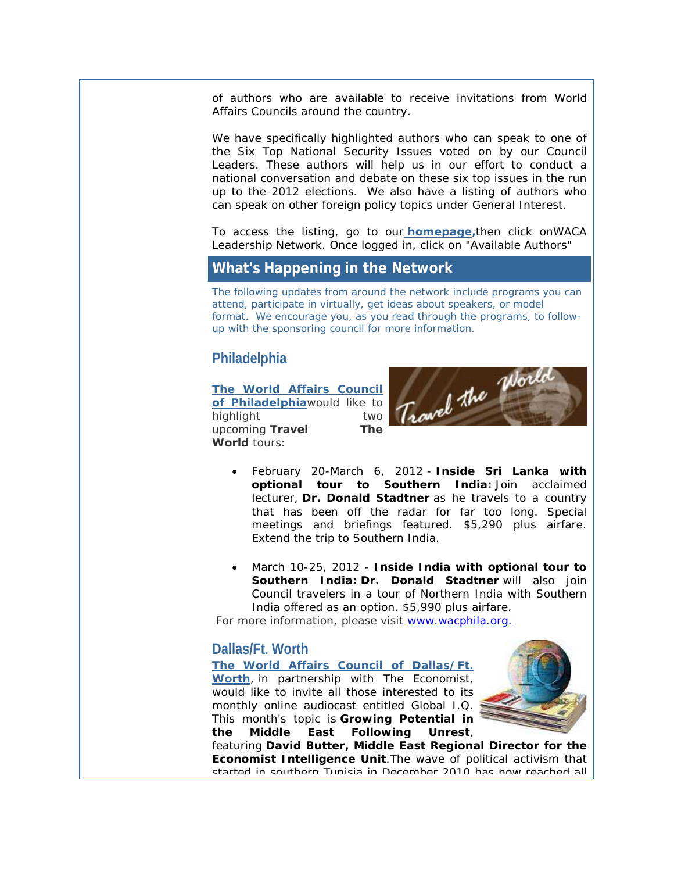of authors who are available to receive invitations from World Affairs Councils around the country.

We have specifically highlighted authors who can speak to one of the Six Top National Security Issues voted on by our Council Leaders. These authors will help us in our effort to conduct a national conversation and debate on these six top issues in the run up to the 2012 elections. We also have a listing of authors who can speak on other foreign policy topics under General Interest.

To access the listing, go to our **[homepage,](http://r20.rs6.net/tn.jsp?llr=v4lbnzbab&et=1106885626641&s=0&e=001FU0SXDZJbBkGrjcOxvIO_9xBQYBk8-XgiVNco03rwI1mNLbXULRzcahiksLp8yj62mtwod35qTcn1jWuEx5AQTnkT1bdNRI_O7EeXgny3lH0oj8g9Nexsw==)**then click onWACA Leadership Network. Once logged in, click on "Available Authors"

## **What's Happening in the Network**

The following updates from around the network include programs you can attend, participate in virtually, get ideas about speakers, or model format. We encourage you, as you read through the programs, to followup with the sponsoring council for more information.

# **Philadelphia**

**[The World Affairs Council](http://r20.rs6.net/tn.jsp?llr=v4lbnzbab&et=1106885626641&s=0&e=001FU0SXDZJbBkGrjcOxvIO_9xBQYBk8-XgiVNco03rwI1mNLbXULRzcahiksLp8yj62mtwod35qTdvK7wINLTAXfiQtVIYhna3s1_0QQdZmd1KMdmBqCMApt2lBU4qIGELeLcZKOd7qD5mJewrrGpToc9vdpMoc28O)  [of Philadelphia](http://r20.rs6.net/tn.jsp?llr=v4lbnzbab&et=1106885626641&s=0&e=001FU0SXDZJbBkGrjcOxvIO_9xBQYBk8-XgiVNco03rwI1mNLbXULRzcahiksLp8yj62mtwod35qTdvK7wINLTAXfiQtVIYhna3s1_0QQdZmd1KMdmBqCMApt2lBU4qIGELeLcZKOd7qD5mJewrrGpToc9vdpMoc28O)**would like to highlight two upcoming *Travel The World* tours:



- February 20-March 6, 2012 **Inside Sri Lanka with optional tour to Southern India:** Join acclaimed lecturer, **Dr. Donald Stadtner** as he travels to a country that has been off the radar for far too long. Special meetings and briefings featured. \$5,290 plus airfare. Extend the trip to Southern India.
- March 10-25, 2012 **Inside India with optional tour to Southern India: Dr. Donald Stadtner** will also join Council travelers in a tour of Northern India with Southern India offered as an option. \$5,990 plus airfare.

For more information, please visit [www.wacphila.org.](http://r20.rs6.net/tn.jsp?llr=v4lbnzbab&et=1106885626641&s=0&e=001FU0SXDZJbBkGrjcOxvIO_9xBQYBk8-XgiVNco03rwI1mNLbXULRzcahiksLp8yj62mtwod35qTdvK7wINLTAXWbK3G5Jwr8N) 

## **Dallas/Ft. Worth**

**[The World Affairs Council of Dallas/Ft.](http://r20.rs6.net/tn.jsp?llr=v4lbnzbab&et=1106885626641&s=0&e=001FU0SXDZJbBkGrjcOxvIO_9xBQYBk8-XgiVNco03rwI1mNLbXULRzcahiksLp8yj62mtwod35qTdp3ZQmCgk-4Ef2ca8DklCd2s160FBH6tlKdqeUVqLtGfH0z6XfOWJY)  [Worth](http://r20.rs6.net/tn.jsp?llr=v4lbnzbab&et=1106885626641&s=0&e=001FU0SXDZJbBkGrjcOxvIO_9xBQYBk8-XgiVNco03rwI1mNLbXULRzcahiksLp8yj62mtwod35qTdp3ZQmCgk-4Ef2ca8DklCd2s160FBH6tlKdqeUVqLtGfH0z6XfOWJY)**, in partnership with The Economist, would like to invite all those interested to its monthly online audiocast entitled Global I.Q. This month's topic is **Growing Potential in the Middle East Following Unrest**,



featuring **David Butter, Middle East Regional Director for the Economist Intelligence Unit**.The wave of political activism that started in southern Tunisia in December 2010 has now reached all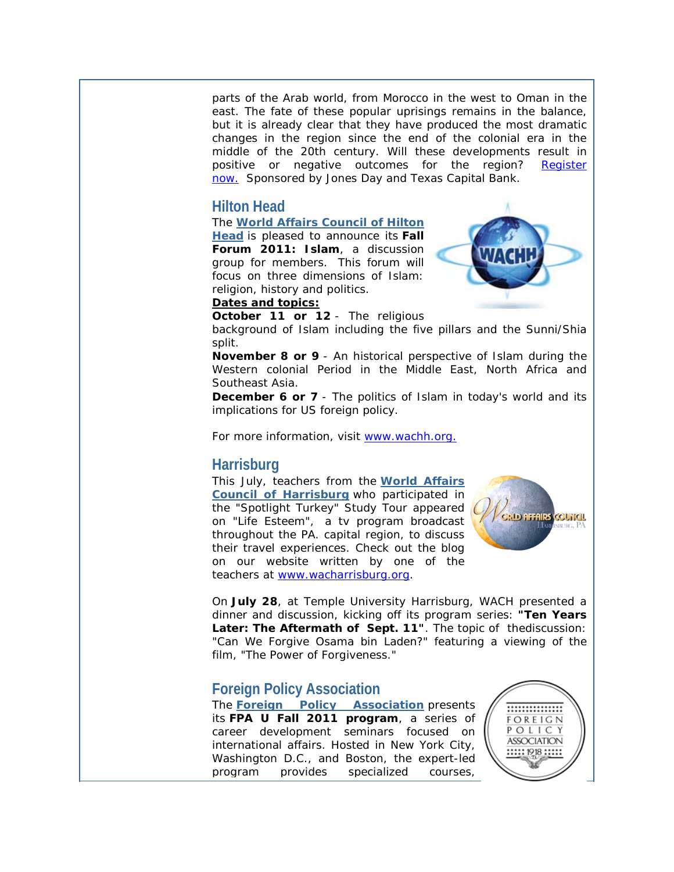parts of the Arab world, from Morocco in the west to Oman in the east. The fate of these popular uprisings remains in the balance, but it is already clear that they have produced the most dramatic changes in the region since the end of the colonial era in the middle of the 20th century. Will these developments result in positive or negative outcomes for the region? [Register](http://r20.rs6.net/tn.jsp?llr=v4lbnzbab&et=1106885626641&s=0&e=001FU0SXDZJbBkGrjcOxvIO_9xBQYBk8-XgiVNco03rwI1mNLbXULRzcZNY3Q1cetyEq3OWESeVi1JIASxduztOLogYCVI-ZnPelTfYWtDnvv93VZ5nFG8gKDvoj4IeUUR96jR_uTEgE3U=)  [now.](http://r20.rs6.net/tn.jsp?llr=v4lbnzbab&et=1106885626641&s=0&e=001FU0SXDZJbBkGrjcOxvIO_9xBQYBk8-XgiVNco03rwI1mNLbXULRzcZNY3Q1cetyEq3OWESeVi1JIASxduztOLogYCVI-ZnPelTfYWtDnvv93VZ5nFG8gKDvoj4IeUUR96jR_uTEgE3U=) Sponsored by Jones Day and Texas Capital Bank.

## **Hilton Head**

The **[World Affairs Council of Hilton](http://r20.rs6.net/tn.jsp?llr=v4lbnzbab&et=1106885626641&s=0&e=001FU0SXDZJbBkGrjcOxvIO_9xBQYBk8-XgiVNco03rwI1mNLbXULRzcahiksLp8yj6TP6254zw2W0poKowR80UXW5sXoPrGxnUXbQwgXo-PwTt4Vl8SHs1kg==)  [Head](http://r20.rs6.net/tn.jsp?llr=v4lbnzbab&et=1106885626641&s=0&e=001FU0SXDZJbBkGrjcOxvIO_9xBQYBk8-XgiVNco03rwI1mNLbXULRzcahiksLp8yj6TP6254zw2W0poKowR80UXW5sXoPrGxnUXbQwgXo-PwTt4Vl8SHs1kg==)** is pleased to announce its **Fall Forum 2011: Islam**, a discussion group for members. This forum will focus on three dimensions of Islam: religion, history and politics.



#### **Dates and topics:**

**October 11 or 12** - The religious

background of Islam including the five pillars and the Sunni/Shia split.

**November 8 or 9** - An historical perspective of Islam during the Western colonial Period in the Middle East, North Africa and Southeast Asia.

**December 6 or 7** - The politics of Islam in today's world and its implications for US foreign policy.

For more information, visit [www.wachh.org.](http://r20.rs6.net/tn.jsp?llr=v4lbnzbab&et=1106885626641&s=0&e=001FU0SXDZJbBkGrjcOxvIO_9xBQYBk8-XgiVNco03rwI1mNLbXULRzcahiksLp8yj62mtwod35qTf8H1asDiZw1fYxDDQZKwhM) 

#### **Harrisburg**

This July, teachers from the **[World Affairs](http://r20.rs6.net/tn.jsp?llr=v4lbnzbab&et=1106885626641&s=0&e=001FU0SXDZJbBkGrjcOxvIO_9xBQYBk8-XgiVNco03rwI1mNLbXULRzcahiksLp8yj62mtwod35qTeR29CLR6NxiUS410DSsihWYhCkXOMQPrw=)  [Council of Harrisburg](http://r20.rs6.net/tn.jsp?llr=v4lbnzbab&et=1106885626641&s=0&e=001FU0SXDZJbBkGrjcOxvIO_9xBQYBk8-XgiVNco03rwI1mNLbXULRzcahiksLp8yj62mtwod35qTeR29CLR6NxiUS410DSsihWYhCkXOMQPrw=)** who participated in the "Spotlight Turkey" Study Tour appeared on "Life Esteem", a tv program broadcast throughout the PA. capital region, to discuss their travel experiences. Check out the blog on our website written by one of the teachers at [www.wacharrisburg.org.](http://r20.rs6.net/tn.jsp?llr=v4lbnzbab&et=1106885626641&s=0&e=001FU0SXDZJbBkGrjcOxvIO_9xBQYBk8-XgiVNco03rwI1mNLbXULRzcahiksLp8yj62mtwod35qTeR29CLR6NxiUS410DSsihWlZHqmTKg1aQ=)



On **July 28**, at Temple University Harrisburg, WACH presented a dinner and discussion, kicking off its program series: **"Ten Years Later: The Aftermath of Sept. 11"**. The topic of thediscussion: "Can We Forgive Osama bin Laden?" featuring a viewing of the film, "The Power of Forgiveness."

# **Foreign Policy Association**

The **[Foreign Policy Association](http://r20.rs6.net/tn.jsp?llr=v4lbnzbab&et=1106885626641&s=0&e=001FU0SXDZJbBkGrjcOxvIO_9xBQYBk8-XgiVNco03rwI1mNLbXULRzcahiksLp8yj62mtwod35qTcS2jWbQ0uI8RXxT79mk5kp)** presents its **FPA U Fall 2011 program**, a series of career development seminars focused on international affairs. Hosted in New York City, Washington D.C., and Boston, the expert-led program provides specialized courses,

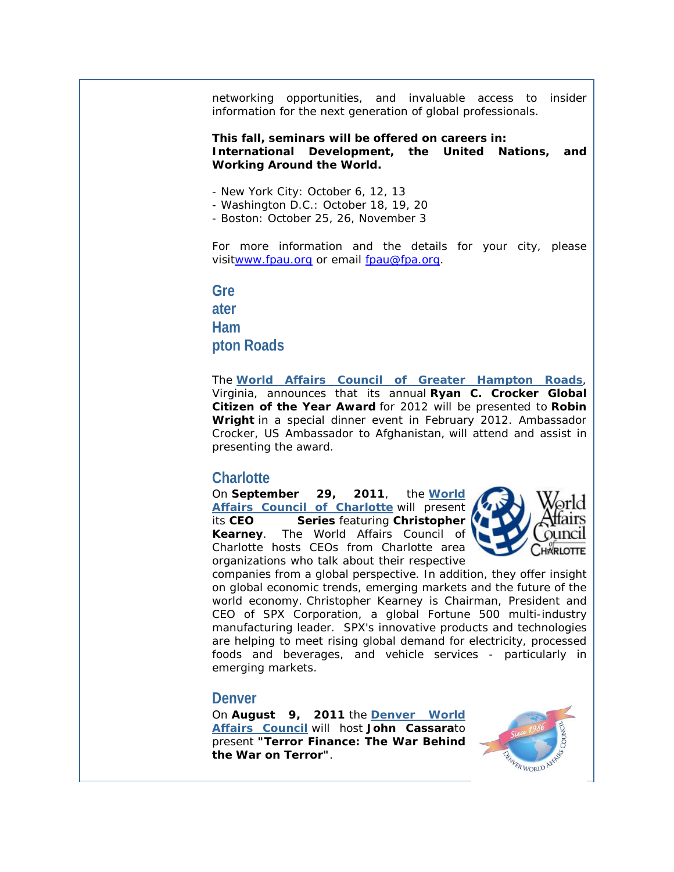networking opportunities, and invaluable access to insider information for the next generation of global professionals.

#### **This fall, seminars will be offered on careers in: International Development, the United Nations, and Working Around the World.**

- New York City: October 6, 12, 13
- Washington D.C.: October 18, 19, 20
- Boston: October 25, 26, November 3

For more information and the details for your city, please visi[twww.fpau.org](http://r20.rs6.net/tn.jsp?llr=v4lbnzbab&et=1106885626641&s=0&e=001FU0SXDZJbBkGrjcOxvIO_9xBQYBk8-XgiVNco03rwI1mNLbXULRzcahiksLp8yj62mtwod35qTcjKr2QNIYh0bTwjowypXWB) or email [fpau@fpa.org.](mailto:fpau@fpa.org)

**Gre ater Ham pton Roads**

The **[World Affairs Council of Greater Hampton Roads](http://r20.rs6.net/tn.jsp?llr=v4lbnzbab&et=1106885626641&s=0&e=001FU0SXDZJbBkGrjcOxvIO_9xBQYBk8-XgiVNco03rwI1mNLbXULRzcahiksLp8yj62mtwod35qTcRHUI-m7rC7dgNgc80i98nbRfUknd2ZUMv992zSvgP3w==)**, Virginia, announces that its annual **Ryan C. Crocker Global Citizen of the Year Award** for 2012 will be presented to **Robin Wright** in a special dinner event in February 2012. Ambassador Crocker, US Ambassador to Afghanistan, will attend and assist in presenting the award.

#### **Charlotte**

On **September 29, 2011**, the **[World](http://r20.rs6.net/tn.jsp?llr=v4lbnzbab&et=1106885626641&s=0&e=001FU0SXDZJbBkGrjcOxvIO_9xBQYBk8-XgiVNco03rwI1mNLbXULRzcahiksLp8yj62mtwod35qTfqSmGMoQlk8ELZ3mWaG6VgS_c0GBi-ges=)  [Affairs Council of Charlotte](http://r20.rs6.net/tn.jsp?llr=v4lbnzbab&et=1106885626641&s=0&e=001FU0SXDZJbBkGrjcOxvIO_9xBQYBk8-XgiVNco03rwI1mNLbXULRzcahiksLp8yj62mtwod35qTfqSmGMoQlk8ELZ3mWaG6VgS_c0GBi-ges=)** will present its **CEO Series** featuring **Christopher Kearney**. The World Affairs Council of Charlotte hosts CEOs from Charlotte area organizations who talk about their respective



companies from a global perspective. In addition, they offer insight on global economic trends, emerging markets and the future of the world economy. Christopher Kearney is Chairman, President and CEO of SPX Corporation, a global Fortune 500 multi-industry manufacturing leader. SPX's innovative products and technologies are helping to meet rising global demand for electricity, processed foods and beverages, and vehicle services - particularly in emerging markets.

#### **Denver**

On **August 9, 2011** the **[Denver World](http://r20.rs6.net/tn.jsp?llr=v4lbnzbab&et=1106885626641&s=0&e=001FU0SXDZJbBkGrjcOxvIO_9xBQYBk8-XgiVNco03rwI1mNLbXULRzcahiksLp8yj62mtwod35qTelZxfuwuB-orMH1qQmzPZbAcfzTK8l3FP4TL6oNAYw2A==)  [Affairs Council](http://r20.rs6.net/tn.jsp?llr=v4lbnzbab&et=1106885626641&s=0&e=001FU0SXDZJbBkGrjcOxvIO_9xBQYBk8-XgiVNco03rwI1mNLbXULRzcahiksLp8yj62mtwod35qTelZxfuwuB-orMH1qQmzPZbAcfzTK8l3FP4TL6oNAYw2A==)** will host **John Cassara**to present **"Terror Finance: The War Behind the War on Terror"**.

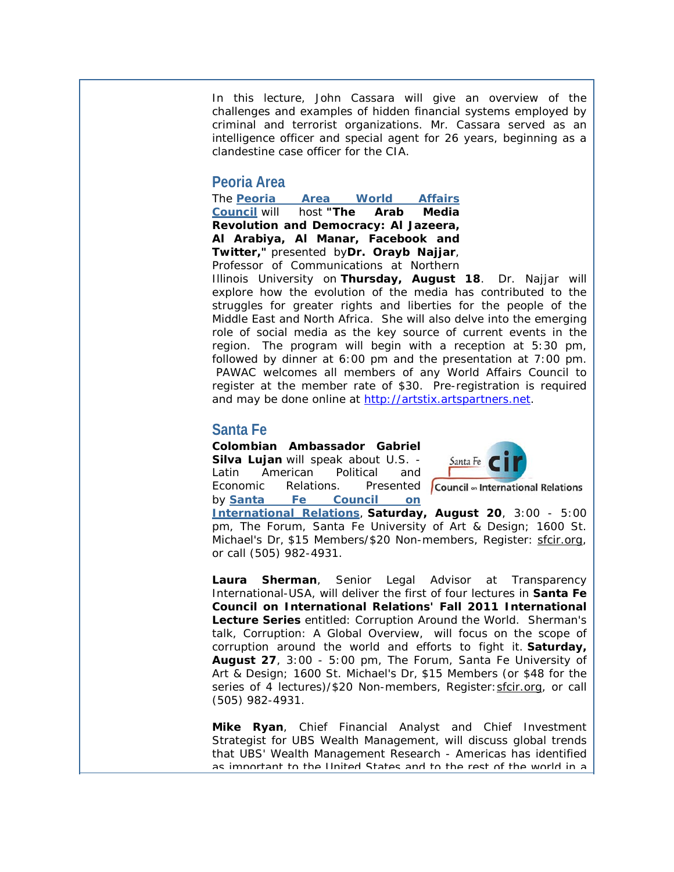In this lecture, John Cassara will give an overview of the challenges and examples of hidden financial systems employed by criminal and terrorist organizations. Mr. Cassara served as an intelligence officer and special agent for 26 years, beginning as a clandestine case officer for the CIA.

## **Peoria Area**

The **[Peoria Area World Affairs](http://r20.rs6.net/tn.jsp?llr=v4lbnzbab&et=1106885626641&s=0&e=001FU0SXDZJbBkGrjcOxvIO_9xBQYBk8-XgiVNco03rwI1mNLbXULRzcahiksLp8yj62mtwod35qTcSqyyIC9bvRZ-bYGe1edR4)  [Council](http://r20.rs6.net/tn.jsp?llr=v4lbnzbab&et=1106885626641&s=0&e=001FU0SXDZJbBkGrjcOxvIO_9xBQYBk8-XgiVNco03rwI1mNLbXULRzcahiksLp8yj62mtwod35qTcSqyyIC9bvRZ-bYGe1edR4)** will host **"The Arab Media Revolution and Democracy: Al Jazeera, Al Arabiya, Al Manar, Facebook and Twitter,"** presented by**Dr. Orayb Najjar**, Professor of Communications at Northern

Illinois University on **Thursday, August 18**. Dr. Najjar will explore how the evolution of the media has contributed to the struggles for greater rights and liberties for the people of the Middle East and North Africa. She will also delve into the emerging role of social media as the key source of current events in the region. The program will begin with a reception at 5:30 pm, followed by dinner at 6:00 pm and the presentation at 7:00 pm. PAWAC welcomes all members of any World Affairs Council to register at the member rate of \$30. Pre-registration is required and may be done online at [http://artstix.artspartners.net.](http://r20.rs6.net/tn.jsp?llr=v4lbnzbab&et=1106885626641&s=0&e=001FU0SXDZJbBkGrjcOxvIO_9xBQYBk8-XgiVNco03rwI1mNLbXULRzcahiksLp8yj6YaVfbWCwHpoZsX4rMVIPKAfqN2OaKp6trJmjLveooZRnprNcIVW4PA==)

# **Santa Fe**

**Colombian Ambassador Gabriel Silva Lujan** will speak about U.S. - Latin American Political and Economic Relations. Presented Council on International Relations by **[Santa Fe Council on](http://r20.rs6.net/tn.jsp?llr=v4lbnzbab&et=1106885626641&s=0&e=001FU0SXDZJbBkGrjcOxvIO_9xBQYBk8-XgiVNco03rwI1mNLbXULRzcahiksLp8yj62mtwod35qTeakE0jWpdzmn3JZ-GOYR0j)** 



**[International Relations](http://r20.rs6.net/tn.jsp?llr=v4lbnzbab&et=1106885626641&s=0&e=001FU0SXDZJbBkGrjcOxvIO_9xBQYBk8-XgiVNco03rwI1mNLbXULRzcahiksLp8yj62mtwod35qTeakE0jWpdzmn3JZ-GOYR0j)**, **Saturday, August 20**, 3:00 - 5:00 pm, The Forum, Santa Fe University of Art & Design; 1600 St. Michael's Dr, \$15 Members/\$20 Non-members, Register: [sfcir.org,](http://r20.rs6.net/tn.jsp?llr=v4lbnzbab&et=1106885626641&s=0&e=001FU0SXDZJbBkGrjcOxvIO_9xBQYBk8-XgiVNco03rwI1mNLbXULRzcahiksLp8yj62mtwod35qTeakE0jWpdzmn3JZ-GOYR0j) or call (505) 982-4931.

**Laura Sherman**, Senior Legal Advisor at Transparency International-USA, will deliver the first of four lectures in **Santa Fe Council on International Relations' Fall 2011 International Lecture Series** entitled: *Corruption Around the World*. Sherman's talk, Corruption: A Global Overview, will focus on the scope of corruption around the world and efforts to fight it. **Saturday, August 27**, 3:00 - 5:00 pm, The Forum, Santa Fe University of Art & Design; 1600 St. Michael's Dr, \$15 Members (or \$48 for the series of 4 lectures)/\$20 Non-members, Register: sfcir.org, or call (505) 982-4931.

**Mike Ryan**, Chief Financial Analyst and Chief Investment Strategist for UBS Wealth Management, will discuss global trends that UBS' Wealth Management Research - Americas has identified as important to the United States and to the rest of the world in a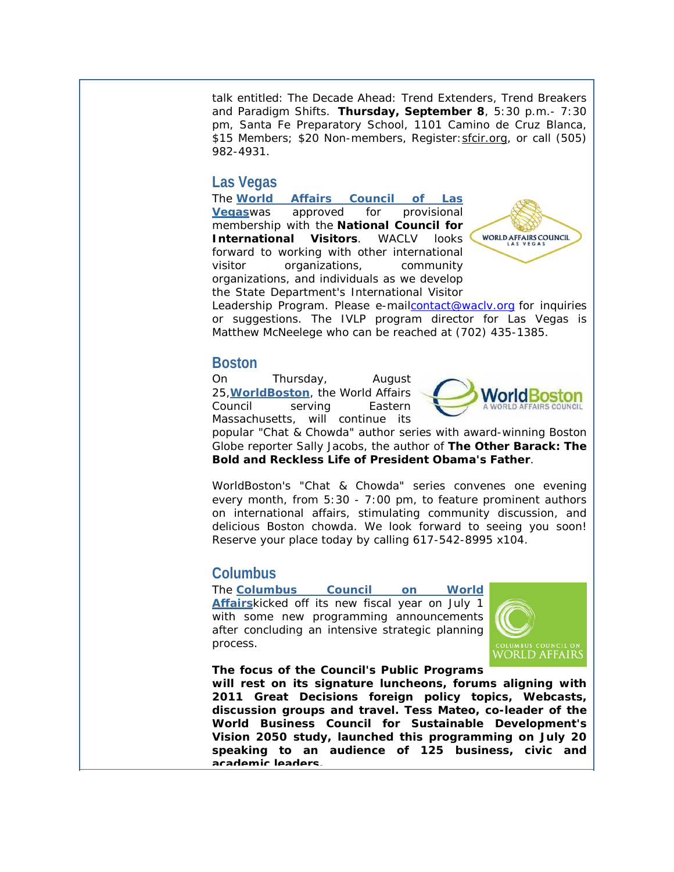talk entitled: *The Decade Ahead: Trend Extenders, Trend Breakers and Paradigm Shifts*. **Thursday, September 8**, 5:30 p.m.- 7:30 pm, Santa Fe Preparatory School, 1101 Camino de Cruz Blanca, \$15 Members; \$20 Non-members, Register: sfcir.org, or call (505) 982-4931.

## **Las Vegas**

The **[World Affairs Council of Las](http://r20.rs6.net/tn.jsp?llr=v4lbnzbab&et=1106885626641&s=0&e=001FU0SXDZJbBkGrjcOxvIO_9xBQYBk8-XgiVNco03rwI1mNLbXULRzcahiksLp8yj62mtwod35qTdOZvTh9ftX0-piFNLUCZ2j)  [Vegas](http://r20.rs6.net/tn.jsp?llr=v4lbnzbab&et=1106885626641&s=0&e=001FU0SXDZJbBkGrjcOxvIO_9xBQYBk8-XgiVNco03rwI1mNLbXULRzcahiksLp8yj62mtwod35qTdOZvTh9ftX0-piFNLUCZ2j)**was approved for provisional membership with the **National Council for International Visitors**. WACLV looks forward to working with other international visitor organizations, community organizations, and individuals as we develop the State Department's International Visitor



Leadership Program. Please e-mailcontact@wacly.org for inquiries or suggestions. The IVLP program director for Las Vegas is Matthew McNeelege who can be reached at (702) 435-1385.

## **Boston**

On Thursday, August 25,**[WorldBoston](http://r20.rs6.net/tn.jsp?llr=v4lbnzbab&et=1106885626641&s=0&e=001FU0SXDZJbBkGrjcOxvIO_9xBQYBk8-XgiVNco03rwI1mNLbXULRzcahiksLp8yj62mtwod35qTdf32hChnV1es-X6eS7CLvfQ4jDVHIegps=)**, the World Affairs Council serving Eastern Massachusetts, will continue its



popular "Chat & Chowda" author series with award-winning *Boston Globe* reporter Sally Jacobs, the author of **The Other Barack: The Bold and Reckless Life of President Obama's Father**.

WorldBoston's "Chat & Chowda" series convenes one evening every month, from 5:30 - 7:00 pm, to feature prominent authors on international affairs, stimulating community discussion, and delicious Boston chowda. We look forward to seeing you soon! Reserve your place today by calling 617-542-8995 x104.

# **Columbus**

The **[Columbus Council](http://r20.rs6.net/tn.jsp?llr=v4lbnzbab&et=1106885626641&s=0&e=001FU0SXDZJbBkGrjcOxvIO_9xBQYBk8-XgiVNco03rwI1mNLbXULRzcahiksLp8yj6GbEUn8MIKVWDn_NPxl7WCp-GDGVpopQfN5H6rquq-KeZkb8TGa2IwA==) on World [Affairs](http://r20.rs6.net/tn.jsp?llr=v4lbnzbab&et=1106885626641&s=0&e=001FU0SXDZJbBkGrjcOxvIO_9xBQYBk8-XgiVNco03rwI1mNLbXULRzcahiksLp8yj6GbEUn8MIKVWDn_NPxl7WCp-GDGVpopQfN5H6rquq-KeZkb8TGa2IwA==)**kicked off its new fiscal year on July 1 with some new programming announcements after concluding an intensive strategic planning process.



**The focus of the Council's Public Programs** 

**will rest on its signature luncheons, forums aligning with 2011 Great Decisions foreign policy topics, Webcasts, discussion groups and travel. Tess Mateo, co-leader of the World Business Council for Sustainable Development's Vision 2050 study, launched this programming on July 20 speaking to an audience of 125 business, civic and academic leaders.**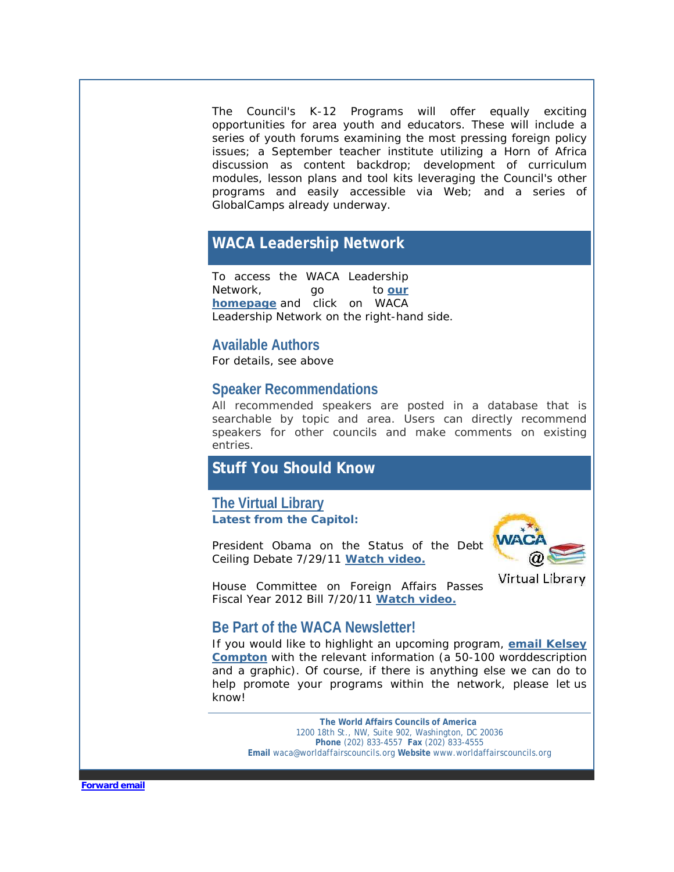The Council's K-12 Programs will offer equally exciting opportunities for area youth and educators. These will include a series of youth forums examining the most pressing foreign policy issues; a September teacher institute utilizing a Horn of Africa discussion as content backdrop; development of curriculum modules, lesson plans and tool kits leveraging the Council's other programs and easily accessible via Web; and a series of GlobalCamps already underway.

## **WACA Leadership Network**

To access the WACA Leadership Network, go to **our [homepage](http://r20.rs6.net/tn.jsp?llr=v4lbnzbab&et=1106885626641&s=0&e=001FU0SXDZJbBkGrjcOxvIO_9xBQYBk8-XgiVNco03rwI1mNLbXULRzcahiksLp8yj62mtwod35qTcn1jWuEx5AQTnkT1bdNRI_O7EeXgny3lG6lPB0fHbXKA==)** and click on WACA Leadership Network on the right-hand side.

## **Available Authors**

For details, see above

## **Speaker Recommendations**

All recommended speakers are posted in a database that is searchable by topic and area. Users can directly recommend speakers for other councils and make comments on existing entries.

# **Stuff You Should Know**

**[The Virtual Library](http://r20.rs6.net/tn.jsp?llr=v4lbnzbab&et=1106885626641&s=0&e=001FU0SXDZJbBkGrjcOxvIO_9xBQYBk8-XgiVNco03rwI1mNLbXULRzcahiksLp8yj62mtwod35qTcn1jWuEx5AQTnkT1bdNRI_O7EeXgny3lFh3v1nrUYo51CJN9P2fvSi0IhkynCMBApQWLGIql0G14xgzviDyBUeew8KtoiuUGDcjFY-ACKBQKdoIFC9VyTzjRnIt1kzVlC4XYHGoL_sq17zyPNcLhf-kO3TWzdj_WY=) Latest from the Capitol:**

President Obama on the Status of the Debt Ceiling Debate 7/29/11 **[Watch video.](http://r20.rs6.net/tn.jsp?llr=v4lbnzbab&et=1106885626641&s=0&e=001FU0SXDZJbBkGrjcOxvIO_9xBQYBk8-XgiVNco03rwI1mNLbXULRzcahiksLp8yj62mtwod35qTcv16maV2OsgO3eXl_yI0UWD3Tb5g4emh8D4Ef90eFztJilmUuvVlDo)**



1

House Committee on Foreign Affairs Passes Fiscal Year 2012 Bill 7/20/11 **[Watch video.](http://r20.rs6.net/tn.jsp?llr=v4lbnzbab&et=1106885626641&s=0&e=001FU0SXDZJbBkGrjcOxvIO_9xBQYBk8-XgiVNco03rwI1mNLbXULRzcahiksLp8yj62mtwod35qTcqVF3Wzw79rkxtk_1vGUnpuMa045IkTRxo54oLG3_H4dXRMnPX-3tzyvZXuh5u0x-ZMpzT2YvWzQ==)**

## **Be Part of the WACA Newsletter!**

If you would like to highlight an upcoming program, **[email Kelsey](mailto:kcompton@worldaffairscouncils.org)  [Compton](mailto:kcompton@worldaffairscouncils.org)** with the relevant information (a 50-100 worddescription and a graphic). Of course, if there is anything else we can do to help promote your programs within the network, please let us know!

**The World Affairs Councils of America** 1200 18th St., NW, Suite 902, Washington, DC 20036 **Phone** (202) 833-4557 **Fax** (202) 833-4555 **Email** waca@worldaffairscouncils.org **Website** www.worldaffairscouncils.org

**[Forward email](http://ui.constantcontact.com/sa/fwtf.jsp?llr=v4lbnzbab&m=1101437906933&ea=ageorgantas@worldaffairscouncils.org&a=1106885626641&id=preview)**